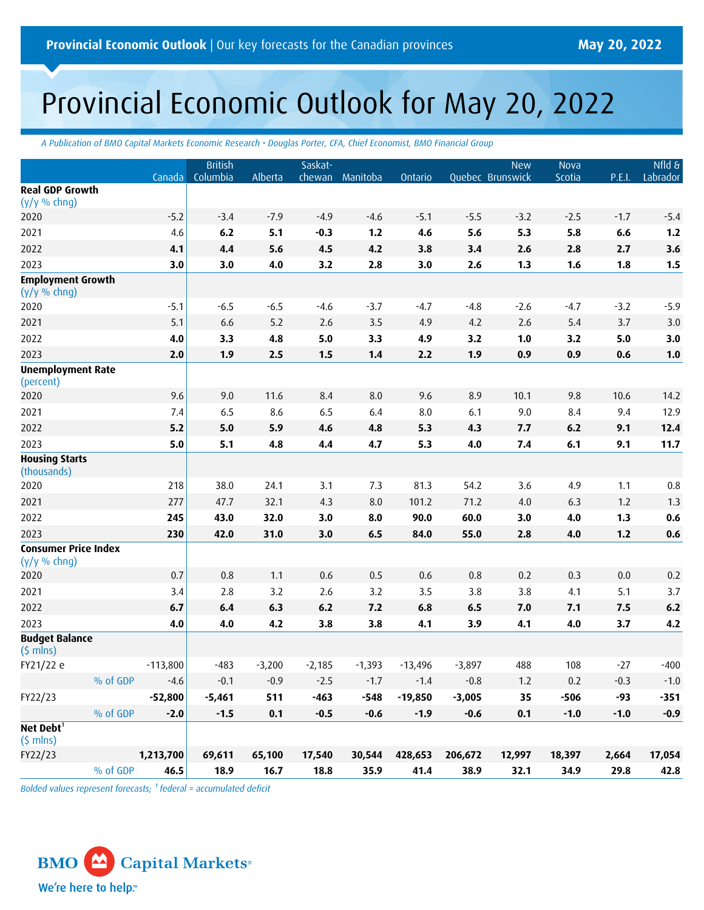# Provincial Economic Outlook for May 20, 2022

*A Publication of BMO Capital Markets Economic Research • Douglas Porter, CFA, Chief Economist, BMO Financial Group*

|                                                |          | Canada     | <b>British</b><br>Columbia | Alberta  | Saskat-  | chewan Manitoba | Ontario   |          | <b>New</b><br>Quebec Brunswick | Nova<br>Scotia | P.E.I. | $Nf$ ld $\overline{\delta}$<br>Labrador |
|------------------------------------------------|----------|------------|----------------------------|----------|----------|-----------------|-----------|----------|--------------------------------|----------------|--------|-----------------------------------------|
| <b>Real GDP Growth</b><br>$(y/y \% chng)$      |          |            |                            |          |          |                 |           |          |                                |                |        |                                         |
| 2020                                           |          | $-5.2$     | $-3.4$                     | $-7.9$   | $-4.9$   | $-4.6$          | $-5.1$    | $-5.5$   | $-3.2$                         | $-2.5$         | $-1.7$ | $-5.4$                                  |
| 2021                                           |          | 4.6        | 6.2                        | 5.1      | $-0.3$   | $1.2$           | 4.6       | 5.6      | 5.3                            | 5.8            | 6.6    | $1.2$                                   |
| 2022                                           |          | 4.1        | 4.4                        | 5.6      | 4.5      | 4.2             | 3.8       | 3.4      | 2.6                            | 2.8            | 2.7    | 3.6                                     |
| 2023                                           |          | 3.0        | 3.0                        | 4.0      | 3.2      | 2.8             | 3.0       | 2.6      | 1.3                            | 1.6            | 1.8    | 1.5                                     |
| <b>Employment Growth</b><br>$(y/y \%$ chng)    |          |            |                            |          |          |                 |           |          |                                |                |        |                                         |
| 2020                                           |          | $-5.1$     | $-6.5$                     | $-6.5$   | $-4.6$   | $-3.7$          | $-4.7$    | $-4.8$   | $-2.6$                         | $-4.7$         | $-3.2$ | $-5.9$                                  |
| 2021                                           |          | 5.1        | 6.6                        | 5.2      | 2.6      | 3.5             | 4.9       | 4.2      | 2.6                            | 5.4            | 3.7    | 3.0                                     |
| 2022                                           |          | 4.0        | 3.3                        | 4.8      | 5.0      | 3.3             | 4.9       | 3.2      | 1.0                            | 3.2            | 5.0    | 3.0                                     |
| 2023                                           |          | 2.0        | 1.9                        | 2.5      | 1.5      | 1.4             | 2.2       | 1.9      | 0.9                            | 0.9            | 0.6    | 1.0                                     |
| <b>Unemployment Rate</b><br>(percent)          |          |            |                            |          |          |                 |           |          |                                |                |        |                                         |
| 2020                                           |          | 9.6        | 9.0                        | 11.6     | 8.4      | 8.0             | 9.6       | 8.9      | 10.1                           | 9.8            | 10.6   | 14.2                                    |
| 2021                                           |          | 7.4        | 6.5                        | 8.6      | 6.5      | 6.4             | 8.0       | 6.1      | 9.0                            | 8.4            | 9.4    | 12.9                                    |
| 2022                                           |          | 5.2        | 5.0                        | 5.9      | 4.6      | 4.8             | 5.3       | 4.3      | 7.7                            | 6.2            | 9.1    | 12.4                                    |
| 2023                                           |          | 5.0        | 5.1                        | 4.8      | 4.4      | 4.7             | 5.3       | 4.0      | 7.4                            | 6.1            | 9.1    | 11.7                                    |
| <b>Housing Starts</b><br>(thousands)           |          |            |                            |          |          |                 |           |          |                                |                |        |                                         |
| 2020                                           |          | 218        | 38.0                       | 24.1     | 3.1      | 7.3             | 81.3      | 54.2     | 3.6                            | 4.9            | 1.1    | 0.8                                     |
| 2021                                           |          | 277        | 47.7                       | 32.1     | 4.3      | 8.0             | 101.2     | 71.2     | 4.0                            | 6.3            | 1.2    | 1.3                                     |
| 2022                                           |          | 245        | 43.0                       | 32.0     | 3.0      | 8.0             | 90.0      | 60.0     | 3.0                            | 4.0            | 1.3    | 0.6                                     |
| 2023                                           |          | 230        | 42.0                       | 31.0     | 3.0      | 6.5             | 84.0      | 55.0     | 2.8                            | 4.0            | $1.2$  | 0.6                                     |
| <b>Consumer Price Index</b><br>$(y/y \% chng)$ |          |            |                            |          |          |                 |           |          |                                |                |        |                                         |
| 2020                                           |          | 0.7        | 0.8                        | 1.1      | 0.6      | 0.5             | 0.6       | 0.8      | 0.2                            | 0.3            | 0.0    | 0.2                                     |
| 2021                                           |          | 3.4        | 2.8                        | 3.2      | 2.6      | 3.2             | 3.5       | 3.8      | 3.8                            | 4.1            | 5.1    | 3.7                                     |
| 2022                                           |          | 6.7        | 6.4                        | 6.3      | 6.2      | 7.2             | 6.8       | 6.5      | 7.0                            | 7.1            | 7.5    | $6.2\,$                                 |
| 2023                                           |          | 4.0        | 4.0                        | 4.2      | 3.8      | 3.8             | 4.1       | 3.9      | 4.1                            | 4.0            | 3.7    | 4.2                                     |
| <b>Budget Balance</b><br>$(5 \text{ mins})$    |          |            |                            |          |          |                 |           |          |                                |                |        |                                         |
| FY21/22 e                                      |          | $-113,800$ | $-483$                     | $-3,200$ | $-2,185$ | $-1,393$        | $-13,496$ | $-3,897$ | 488                            | 108            | $-27$  | $-400$                                  |
|                                                | % of GDP | $-4.6$     | $-0.1$                     | $-0.9$   | $-2.5$   | $-1.7$          | $-1.4$    | $-0.8$   | 1.2                            | 0.2            | $-0.3$ | $-1.0$                                  |
| FY22/23                                        |          | $-52,800$  | $-5,461$                   | 511      | $-463$   | $-548$          | $-19,850$ | $-3,005$ | 35                             | $-506$         | $-93$  | $-351$                                  |
|                                                | % of GDP | $-2.0$     | $-1.5$                     | 0.1      | $-0.5$   | $-0.6$          | $-1.9$    | $-0.6$   | 0.1                            | $-1.0$         | $-1.0$ | $-0.9$                                  |
| Net Debt <sup>1</sup><br>$(5 \text{ mins})$    |          |            |                            |          |          |                 |           |          |                                |                |        |                                         |
| FY22/23                                        |          | 1,213,700  | 69,611                     | 65,100   | 17,540   | 30,544          | 428,653   | 206,672  | 12,997                         | 18,397         | 2,664  | 17,054                                  |
|                                                | % of GDP | 46.5       | 18.9                       | 16.7     | 18.8     | 35.9            | 41.4      | 38.9     | 32.1                           | 34.9           | 29.8   | 42.8                                    |

*Bolded values represent forecasts; <sup>1</sup> federal = accumulated deficit*